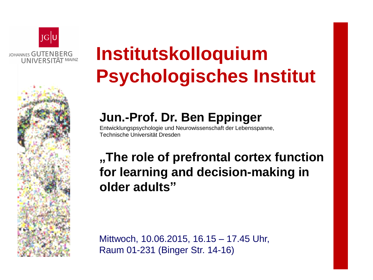

## **Institutskolloquium Psychologisches Institut**

## **Jun.-Prof. Dr. Ben Eppinger**

Entwicklungspsychologie und Neurowissenschaft der Lebensspanne, Technische Universität Dresden

## **"The role of prefrontal cortex function for learning and decision-making in older adults"**

Mittwoch, 10.06.2015, 16.15 – 17.45 Uhr, Raum 01-231 (Binger Str. 14-16)